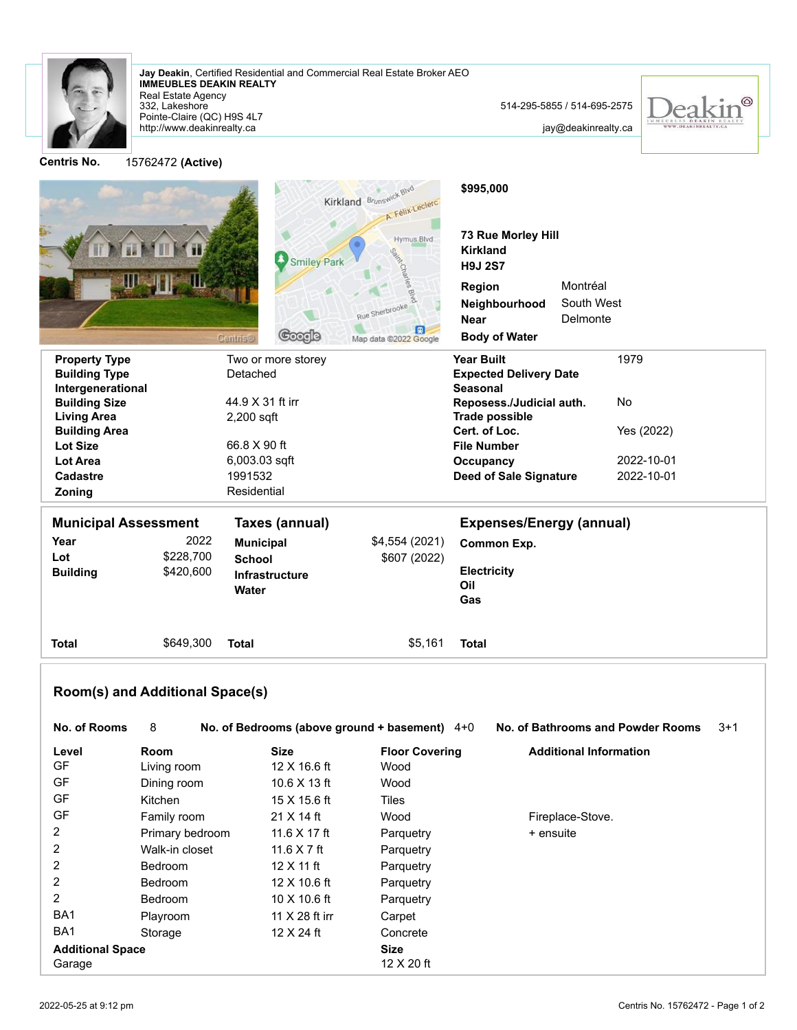

Real Estate Agency **IMMEUBLES DEAKIN REALTY Jay Deakin**, Certified Residential and Commercial Real Estate Broker AEO

http://www.deakinrealty.ca Pointe-Claire (QC) H9S 4L7 332, Lakeshore

jay@deakinrealty.ca

 $^{\circledR}$ 

Kirkland Brunswick Blvd **\$995,000** A. Félix-Leclerc **73 Rue Morley Hill** Hymus Blvd **Kirkland Smiley Park H9J 2S7 Region** Montréal South West **Neighbourhood Delmonte Near**  $\square$ Coorle **Body of Water** Map data @2022 Google **Property Type Two or more storey Construct American Structure Two or more storey Construct American Year Built** 1979 **Building Type** Detached **Expected Delivery Date Intergenerational Seasonal** 44.9 X 31 ft irr **Reposess./Judicial auth.** No **Building Size Trade possible Living Area** 2,200 sqft **Building Area Cert. of Loc.** Yes (2022) **Lot Size** 66.8 X 90 ft **File Number Lot Area** 6,003.03 sqft **Occupancy** 2022-10-01 **Cadastre** 1991532 **Deed of Sale Signature** 2022-10-01 **Zoning** Residential **Municipal Assessment Taxes (annual) Expenses/Energy (annual) Year** 2022 **Municipal** \$4,554 (2021) **Common Exp. Lot** \$228,700 **School** \$607 (2022) **Building** \$420,600 **Electricity Infrastructure Oil Water Gas Total** \$649,300 **Total** \$5,161 **Total Room(s) and Additional Space(s) No. of Rooms** 8 **No. of Bedrooms (above ground + basement)** 4+0 **No. of Bathrooms and Powder Rooms** 3+1 **Level Room Size Floor Covering Additional Information** GF Living room 12 X 16.6 ft Wood GF Dining room 10.6 X 13 ft Wood GF Kitchen 15 X 15.6 ft Tiles GF Family room 21 X 14 ft Wood Fireplace-Stove. 2 Primary bedroom 11.6 X 17 ft Parquetry + ensuite 2 Walk-in closet 11.6 X 7 ft Parquetry 2 Bedroom 12 X 11 ft Parquetry 2 Bedroom 12 X 10.6 ft Parquetry 2 Bedroom 10 X 10.6 ft Parquetry BA1 Playroom 11 X 28 ft irr Carpet BA1 Storage 12 X 24 ft Concrete **Additional Space Size**

Garage 12 X 20 ft